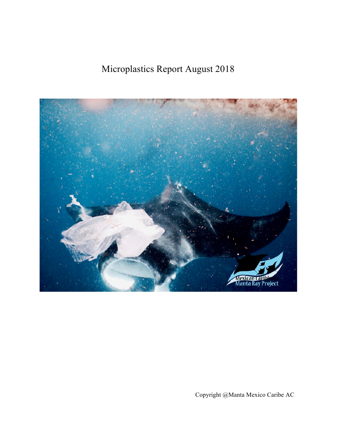Microplastics Report August 2018



Copyright @Manta Mexico Caribe AC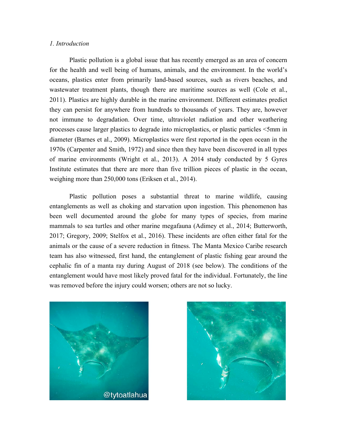## *1. Introduction*

Plastic pollution is a global issue that has recently emerged as an area of concern for the health and well being of humans, animals, and the environment. In the world's oceans, plastics enter from primarily land-based sources, such as rivers beaches, and wastewater treatment plants, though there are maritime sources as well (Cole et al., 2011). Plastics are highly durable in the marine environment. Different estimates predict they can persist for anywhere from hundreds to thousands of years. They are, however not immune to degradation. Over time, ultraviolet radiation and other weathering processes cause larger plastics to degrade into microplastics, or plastic particles <5mm in diameter (Barnes et al., 2009). Microplastics were first reported in the open ocean in the 1970s (Carpenter and Smith, 1972) and since then they have been discovered in all types of marine environments (Wright et al., 2013). A 2014 study conducted by 5 Gyres Institute estimates that there are more than five trillion pieces of plastic in the ocean, weighing more than 250,000 tons (Eriksen et al., 2014).

Plastic pollution poses a substantial threat to marine wildlife, causing entanglements as well as choking and starvation upon ingestion. This phenomenon has been well documented around the globe for many types of species, from marine mammals to sea turtles and other marine megafauna (Adimey et al., 2014; Butterworth, 2017; Gregory, 2009; Stelfox et al., 2016). These incidents are often either fatal for the animals or the cause of a severe reduction in fitness. The Manta Mexico Caribe research team has also witnessed, first hand, the entanglement of plastic fishing gear around the cephalic fin of a manta ray during August of 2018 (see below). The conditions of the entanglement would have most likely proved fatal for the individual. Fortunately, the line was removed before the injury could worsen; others are not so lucky.



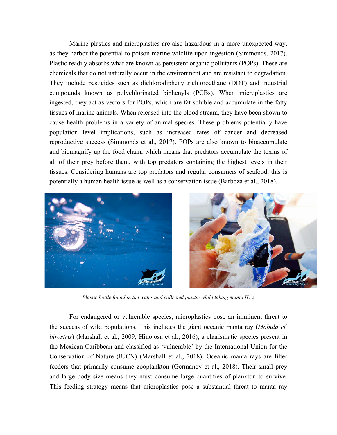Marine plastics and microplastics are also hazardous in a more unexpected way, as they harbor the potential to poison marine wildlife upon ingestion (Simmonds, 2017). Plastic readily absorbs what are known as persistent organic pollutants (POPs). These are chemicals that do not naturally occur in the environment and are resistant to degradation. They include pesticides such as dichlorodiphenyltrichloroethane (DDT) and industrial compounds known as polychlorinated biphenyls (PCBs). When microplastics are ingested, they act as vectors for POPs, which are fat-soluble and accumulate in the fatty tissues of marine animals. When released into the blood stream, they have been shown to cause health problems in a variety of animal species. These problems potentially have population level implications, such as increased rates of cancer and decreased reproductive success (Simmonds et al., 2017). POPs are also known to bioaccumulate and biomagnify up the food chain, which means that predators accumulate the toxins of all of their prey before them, with top predators containing the highest levels in their tissues. Considering humans are top predators and regular consumers of seafood, this is potentially a human health issue as well as a conservation issue (Barboza et al., 2018).





*Plastic bottle found in the water and collected plastic while taking manta ID´s*

For endangered or vulnerable species, microplastics pose an imminent threat to the success of wild populations. This includes the giant oceanic manta ray (*Mobula cf. birostris*) (Marshall et al., 2009; Hinojosa et al., 2016), a charismatic species present in the Mexican Caribbean and classified as 'vulnerable' by the International Union for the Conservation of Nature (IUCN) (Marshall et al., 2018). Oceanic manta rays are filter feeders that primarily consume zooplankton (Germanov et al., 2018). Their small prey and large body size means they must consume large quantities of plankton to survive. This feeding strategy means that microplastics pose a substantial threat to manta ray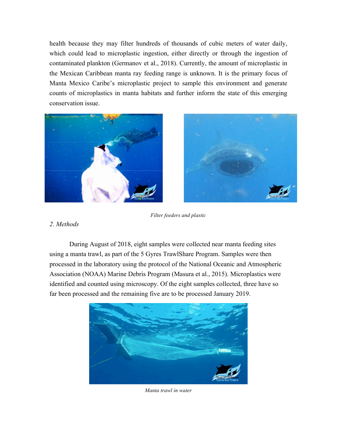health because they may filter hundreds of thousands of cubic meters of water daily, which could lead to microplastic ingestion, either directly or through the ingestion of contaminated plankton (Germanov et al., 2018). Currently, the amount of microplastic in the Mexican Caribbean manta ray feeding range is unknown. It is the primary focus of Manta Mexico Caribe's microplastic project to sample this environment and generate counts of microplastics in manta habitats and further inform the state of this emerging conservation issue.





*Filter feeders and plastic*

# *2. Methods*

During August of 2018, eight samples were collected near manta feeding sites using a manta trawl, as part of the 5 Gyres TrawlShare Program. Samples were then processed in the laboratory using the protocol of the National Oceanic and Atmospheric Association (NOAA) Marine Debris Program (Masura et al., 2015). Microplastics were identified and counted using microscopy. Of the eight samples collected, three have so far been processed and the remaining five are to be processed January 2019.



*Manta trawl in water*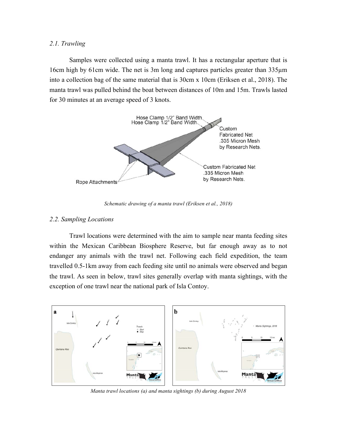## *2.1. Trawling*

Samples were collected using a manta trawl. It has a rectangular aperture that is 16cm high by 61cm wide. The net is 3m long and captures particles greater than 335µm into a collection bag of the same material that is 30cm x 10cm (Eriksen et al., 2018). The manta trawl was pulled behind the boat between distances of 10m and 15m. Trawls lasted for 30 minutes at an average speed of 3 knots.



*Schematic drawing of a manta trawl (Eriksen et al., 2018)*

# *2.2. Sampling Locations*

Trawl locations were determined with the aim to sample near manta feeding sites within the Mexican Caribbean Biosphere Reserve, but far enough away as to not endanger any animals with the trawl net. Following each field expedition, the team travelled 0.5-1km away from each feeding site until no animals were observed and began the trawl. As seen in below, trawl sites generally overlap with manta sightings, with the exception of one trawl near the national park of Isla Contoy.



*Manta trawl locations (a) and manta sightings (b) during August 2018*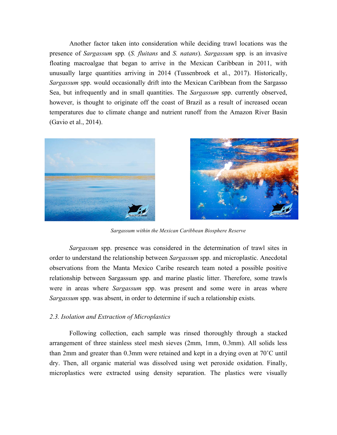Another factor taken into consideration while deciding trawl locations was the presence of *Sargassum* spp*.* (*S. fluitans* and *S. natans*). *Sargassum* spp*.* is an invasive floating macroalgae that began to arrive in the Mexican Caribbean in 2011, with unusually large quantities arriving in 2014 (Tussenbroek et al., 2017). Historically, *Sargassum* spp. would occasionally drift into the Mexican Caribbean from the Sargasso Sea, but infrequently and in small quantities. The *Sargassum* spp. currently observed, however, is thought to originate off the coast of Brazil as a result of increased ocean temperatures due to climate change and nutrient runoff from the Amazon River Basin (Gavio et al., 2014).





*Sargassum within the Mexican Caribbean Biosphere Reserve*

*Sargassum* spp. presence was considered in the determination of trawl sites in order to understand the relationship between *Sargassum* spp. and microplastic. Anecdotal observations from the Manta Mexico Caribe research team noted a possible positive relationship between Sargassum spp. and marine plastic litter. Therefore, some trawls were in areas where *Sargassum* spp. was present and some were in areas where *Sargassum* spp. was absent, in order to determine if such a relationship exists.

#### *2.3. Isolation and Extraction of Microplastics*

Following collection, each sample was rinsed thoroughly through a stacked arrangement of three stainless steel mesh sieves (2mm, 1mm, 0.3mm). All solids less than 2mm and greater than 0.3mm were retained and kept in a drying oven at 70˚C until dry. Then, all organic material was dissolved using wet peroxide oxidation. Finally, microplastics were extracted using density separation. The plastics were visually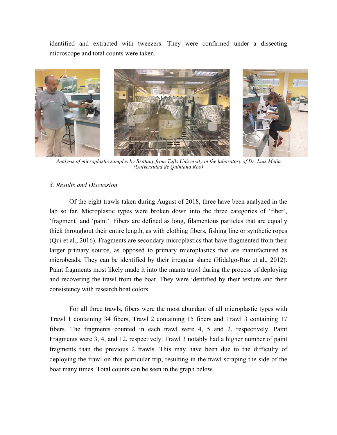identified and extracted with tweezers. They were confirmed under a dissecting microscope and total counts were taken.



*Analysis of microplastic samples by Brittany from Tufts University in the laboratory of Dr. Luis Mejia (Universidad de Quintana Roo)*

# *3. Results and Discussion*

Of the eight trawls taken during August of 2018, three have been analyzed in the lab so far. Microplastic types were broken down into the three categories of 'fiber', 'fragment' and 'paint'. Fibers are defined as long, filamentous particles that are equally thick throughout their entire length, as with clothing fibers, fishing line or synthetic ropes (Qui et al., 2016). Fragments are secondary microplastics that have fragmented from their larger primary source, as opposed to primary microplastics that are manufactured as microbeads. They can be identified by their irregular shape (Hidalgo-Ruz et al., 2012). Paint fragments most likely made it into the manta trawl during the process of deploying and recovering the trawl from the boat. They were identified by their texture and their consistency with research boat colors.

For all three trawls, fibers were the most abundant of all microplastic types with Trawl 1 containing 34 fibers, Trawl 2 containing 15 fibers and Trawl 3 containing 17 fibers. The fragments counted in each trawl were 4, 5 and 2, respectively. Paint Fragments were 3, 4, and 12, respectively. Trawl 3 notably had a higher number of paint fragments than the previous 2 trawls. This may have been due to the difficulty of deploying the trawl on this particular trip, resulting in the trawl scraping the side of the boat many times. Total counts can be seen in the graph below.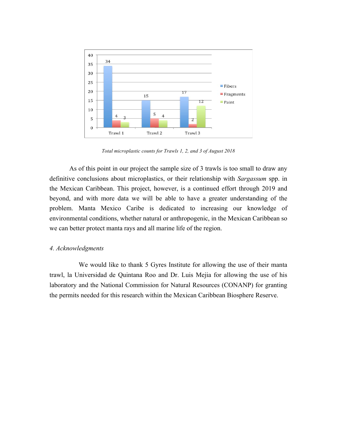

*Total microplastic counts for Trawls 1, 2, and 3 of August 2018*

As of this point in our project the sample size of 3 trawls is too small to draw any definitive conclusions about microplastics, or their relationship with *Sargassum* spp. in the Mexican Caribbean. This project, however, is a continued effort through 2019 and beyond, and with more data we will be able to have a greater understanding of the problem. Manta Mexico Caribe is dedicated to increasing our knowledge of environmental conditions, whether natural or anthropogenic, in the Mexican Caribbean so we can better protect manta rays and all marine life of the region.

### *4. Acknowledgments*

We would like to thank 5 Gyres Institute for allowing the use of their manta trawl, la Universidad de Quintana Roo and Dr. Luis Mejia for allowing the use of his laboratory and the National Commission for Natural Resources (CONANP) for granting the permits needed for this research within the Mexican Caribbean Biosphere Reserve.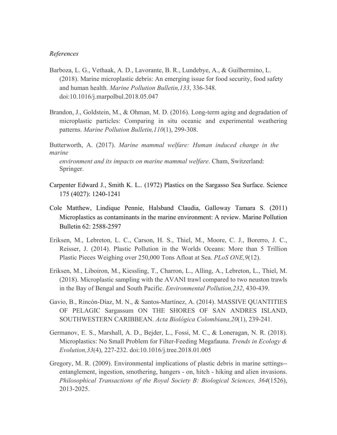### *References*

- Barboza, L. G., Vethaak, A. D., Lavorante, B. R., Lundebye, A., & Guilhermino, L. (2018). Marine microplastic debris: An emerging issue for food security, food safety and human health. *Marine Pollution Bulletin,133*, 336-348. doi:10.1016/j.marpolbul.2018.05.047
- Brandon, J., Goldstein, M., & Ohman, M. D. (2016). Long-term aging and degradation of microplastic particles: Comparing in situ oceanic and experimental weathering patterns. *Marine Pollution Bulletin,110*(1), 299-308.

Butterworth, A. (2017). *Marine mammal welfare: Human induced change in the marine*

*environment and its impacts on marine mammal welfare*. Cham, Switzerland: Springer.

- Carpenter Edward J., Smith K. L.. (1972) Plastics on the Sargasso Sea Surface. Science 175 (4027): 1240-1241
- Cole Matthew, Lindique Pennie, Halsband Claudia, Galloway Tamara S. (2011) Microplastics as contaminants in the marine environment: A review. Marine Pollution Bulletin 62: 2588-2597
- Eriksen, M., Lebreton, L. C., Carson, H. S., Thiel, M., Moore, C. J., Borerro, J. C., Reisser, J. (2014). Plastic Pollution in the Worlds Oceans: More than 5 Trillion Plastic Pieces Weighing over 250,000 Tons Afloat at Sea. *PLoS ONE,9*(12).
- Eriksen, M., Liboiron, M., Kiessling, T., Charron, L., Alling, A., Lebreton, L., Thiel, M. (2018). Microplastic sampling with the AVANI trawl compared to two neuston trawls in the Bay of Bengal and South Pacific. *Environmental Pollution,232*, 430-439.
- Gavio, B., Rincón-Díaz, M. N., & Santos-Martínez, A. (2014). MASSIVE QUANTITIES OF PELAGIC Sargassum ON THE SHORES OF SAN ANDRES ISLAND, SOUTHWESTERN CARIBBEAN. *Acta Biológica Colombiana,20*(1), 239-241.
- Germanov, E. S., Marshall, A. D., Bejder, L., Fossi, M. C., & Loneragan, N. R. (2018). Microplastics: No Small Problem for Filter-Feeding Megafauna. *Trends in Ecology & Evolution,33*(4), 227-232. doi:10.1016/j.tree.2018.01.005
- Gregory, M. R. (2009). Environmental implications of plastic debris in marine settings- entanglement, ingestion, smothering, hangers - on, hitch - hiking and alien invasions. *Philosophical Transactions of the Royal Society B: Biological Sciences, 364*(1526), 2013-2025.